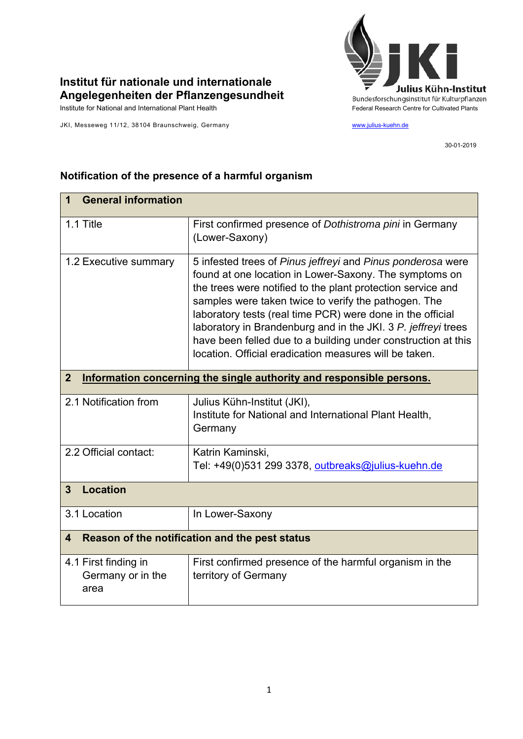

## **Institut für nationale und internationale Angelegenheiten der Pflanzengesundheit**

JKI, Messeweg 11/12, 38104 Braunschweig, Germany www.julius-kuehn.de

30-01-2019

| <b>General information</b><br>1                                                      |                                                                                                                                                                                                                                                                                                                                                                                                                                                                                                        |  |
|--------------------------------------------------------------------------------------|--------------------------------------------------------------------------------------------------------------------------------------------------------------------------------------------------------------------------------------------------------------------------------------------------------------------------------------------------------------------------------------------------------------------------------------------------------------------------------------------------------|--|
| 1.1 Title                                                                            | First confirmed presence of Dothistroma pini in Germany<br>(Lower-Saxony)                                                                                                                                                                                                                                                                                                                                                                                                                              |  |
| 1.2 Executive summary                                                                | 5 infested trees of Pinus jeffreyi and Pinus ponderosa were<br>found at one location in Lower-Saxony. The symptoms on<br>the trees were notified to the plant protection service and<br>samples were taken twice to verify the pathogen. The<br>laboratory tests (real time PCR) were done in the official<br>laboratory in Brandenburg and in the JKI. 3 P. jeffreyi trees<br>have been felled due to a building under construction at this<br>location. Official eradication measures will be taken. |  |
| Information concerning the single authority and responsible persons.<br>$\mathbf{2}$ |                                                                                                                                                                                                                                                                                                                                                                                                                                                                                                        |  |
| 2.1 Notification from                                                                | Julius Kühn-Institut (JKI),<br>Institute for National and International Plant Health,<br>Germany                                                                                                                                                                                                                                                                                                                                                                                                       |  |
| 2.2 Official contact:                                                                | Katrin Kaminski,<br>Tel: +49(0)531 299 3378, outbreaks@julius-kuehn.de                                                                                                                                                                                                                                                                                                                                                                                                                                 |  |
| <b>Location</b><br>$\mathbf{3}$                                                      |                                                                                                                                                                                                                                                                                                                                                                                                                                                                                                        |  |
| 3.1 Location                                                                         | In Lower-Saxony                                                                                                                                                                                                                                                                                                                                                                                                                                                                                        |  |
| Reason of the notification and the pest status<br>$\boldsymbol{\Delta}$              |                                                                                                                                                                                                                                                                                                                                                                                                                                                                                                        |  |
| 4.1 First finding in<br>Germany or in the<br>area                                    | First confirmed presence of the harmful organism in the<br>territory of Germany                                                                                                                                                                                                                                                                                                                                                                                                                        |  |

## **Notification of the presence of a harmful organism**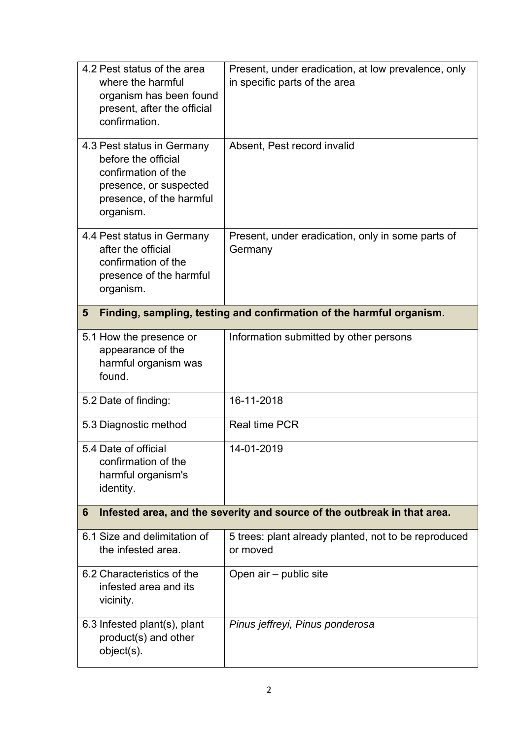| 4.2 Pest status of the area<br>where the harmful<br>organism has been found<br>present, after the official<br>confirmation.                 | Present, under eradication, at low prevalence, only<br>in specific parts of the area |  |
|---------------------------------------------------------------------------------------------------------------------------------------------|--------------------------------------------------------------------------------------|--|
| 4.3 Pest status in Germany<br>before the official<br>confirmation of the<br>presence, or suspected<br>presence, of the harmful<br>organism. | Absent, Pest record invalid                                                          |  |
| 4.4 Pest status in Germany<br>after the official<br>confirmation of the<br>presence of the harmful<br>organism.                             | Present, under eradication, only in some parts of<br>Germany                         |  |
| Finding, sampling, testing and confirmation of the harmful organism.<br>5                                                                   |                                                                                      |  |
| 5.1 How the presence or<br>appearance of the<br>harmful organism was<br>found.                                                              | Information submitted by other persons                                               |  |
| 5.2 Date of finding:                                                                                                                        | 16-11-2018                                                                           |  |
| 5.3 Diagnostic method                                                                                                                       | <b>Real time PCR</b>                                                                 |  |
| 5.4 Date of official<br>confirmation of the<br>harmful organism's<br>identity.                                                              | 14-01-2019                                                                           |  |
| Infested area, and the severity and source of the outbreak in that area.<br>6                                                               |                                                                                      |  |
| 6.1 Size and delimitation of<br>the infested area.                                                                                          | 5 trees: plant already planted, not to be reproduced<br>or moved                     |  |
| 6.2 Characteristics of the<br>infested area and its<br>vicinity.                                                                            | Open air - public site                                                               |  |
| 6.3 Infested plant(s), plant<br>product(s) and other<br>object(s).                                                                          | Pinus jeffreyi, Pinus ponderosa                                                      |  |